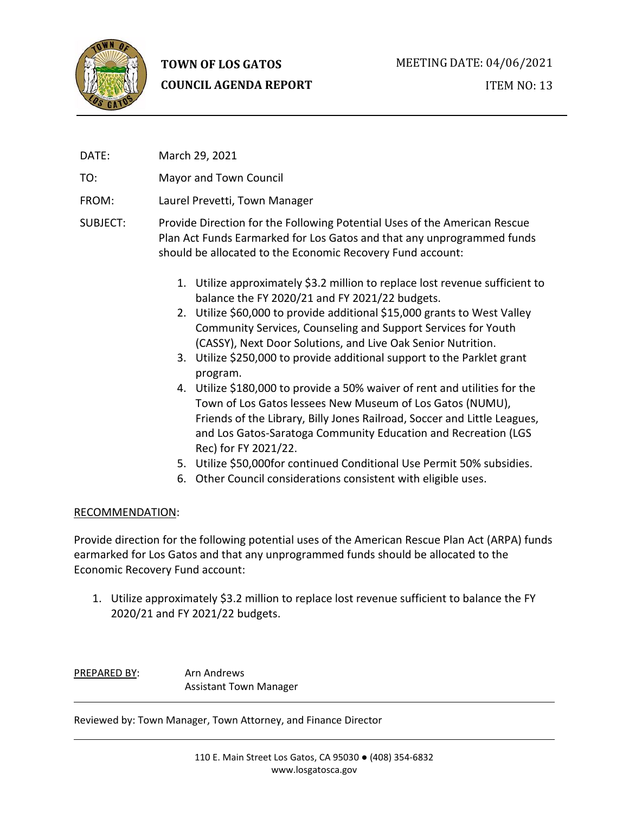

# **TOWN OF LOS GATOS COUNCIL AGENDA REPORT**

DATE: March 29, 2021

TO: Mayor and Town Council

- FROM: Laurel Prevetti, Town Manager
- SUBJECT: Provide Direction for the Following Potential Uses of the American Rescue Plan Act Funds Earmarked for Los Gatos and that any unprogrammed funds should be allocated to the Economic Recovery Fund account:
	- 1. Utilize approximately \$3.2 million to replace lost revenue sufficient to balance the FY 2020/21 and FY 2021/22 budgets.
	- 2. Utilize \$60,000 to provide additional \$15,000 grants to West Valley Community Services, Counseling and Support Services for Youth (CASSY), Next Door Solutions, and Live Oak Senior Nutrition.
	- 3. Utilize \$250,000 to provide additional support to the Parklet grant program.
	- 4. Utilize \$180,000 to provide a 50% waiver of rent and utilities for the Town of Los Gatos lessees New Museum of Los Gatos (NUMU), Friends of the Library, Billy Jones Railroad, Soccer and Little Leagues, and Los Gatos-Saratoga Community Education and Recreation (LGS Rec) for FY 2021/22.
	- 5. Utilize \$50,000for continued Conditional Use Permit 50% subsidies.
	- 6. Other Council considerations consistent with eligible uses.

## RECOMMENDATION:

Provide direction for the following potential uses of the American Rescue Plan Act (ARPA) funds earmarked for Los Gatos and that any unprogrammed funds should be allocated to the Economic Recovery Fund account:

1. Utilize approximately \$3.2 million to replace lost revenue sufficient to balance the FY 2020/21 and FY 2021/22 budgets.

PREPARED BY: Arn Andrews Assistant Town Manager

Reviewed by: Town Manager, Town Attorney, and Finance Director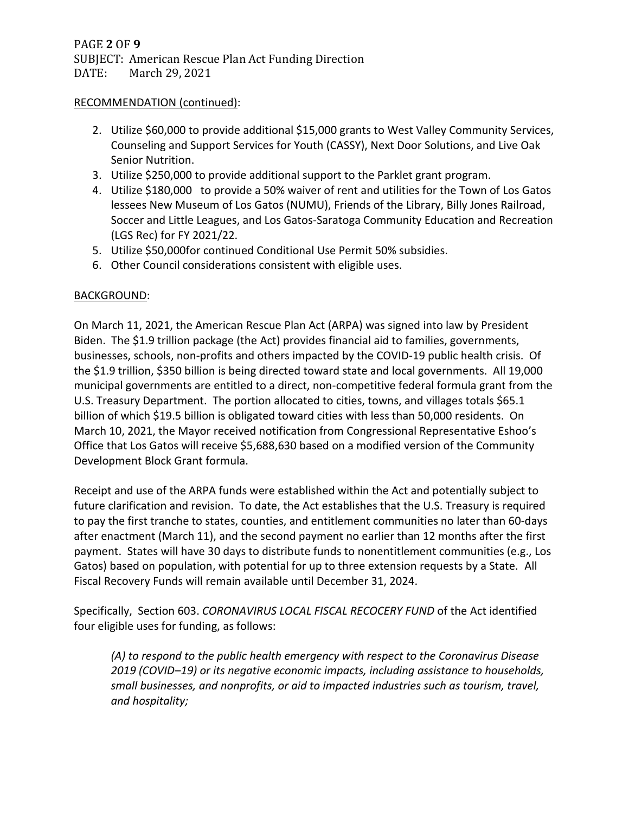#### RECOMMENDATION (continued):

- 2. Utilize \$60,000 to provide additional \$15,000 grants to West Valley Community Services, Counseling and Support Services for Youth (CASSY), Next Door Solutions, and Live Oak Senior Nutrition.
- 3. Utilize \$250,000 to provide additional support to the Parklet grant program.
- 4. Utilize \$180,000 to provide a 50% waiver of rent and utilities for the Town of Los Gatos lessees New Museum of Los Gatos (NUMU), Friends of the Library, Billy Jones Railroad, Soccer and Little Leagues, and Los Gatos-Saratoga Community Education and Recreation (LGS Rec) for FY 2021/22.
- 5. Utilize \$50,000for continued Conditional Use Permit 50% subsidies.
- 6. Other Council considerations consistent with eligible uses.

#### BACKGROUND:

On March 11, 2021, the American Rescue Plan Act (ARPA) was signed into law by President Biden. The \$1.9 trillion package (the Act) provides financial aid to families, governments, businesses, schools, non-profits and others impacted by the COVID-19 public health crisis. Of the \$1.9 trillion, \$350 billion is being directed toward state and local governments. All 19,000 municipal governments are entitled to a direct, non-competitive federal formula grant from the U.S. Treasury Department. The portion allocated to cities, towns, and villages totals \$65.1 billion of which \$19.5 billion is obligated toward cities with less than 50,000 residents. On March 10, 2021, the Mayor received notification from Congressional Representative Eshoo's Office that Los Gatos will receive \$5,688,630 based on a modified version of the Community Development Block Grant formula.

Receipt and use of the ARPA funds were established within the Act and potentially subject to future clarification and revision. To date, the Act establishes that the U.S. Treasury is required to pay the first tranche to states, counties, and entitlement communities no later than 60-days after enactment (March 11), and the second payment no earlier than 12 months after the first payment. States will have 30 days to distribute funds to nonentitlement communities (e.g., Los Gatos) based on population, with potential for up to three extension requests by a State. All Fiscal Recovery Funds will remain available until December 31, 2024.

Specifically, Section 603. *CORONAVIRUS LOCAL FISCAL RECOCERY FUND* of the Act identified four eligible uses for funding, as follows:

*(A) to respond to the public health emergency with respect to the Coronavirus Disease 2019 (COVID–19) or its negative economic impacts, including assistance to households, small businesses, and nonprofits, or aid to impacted industries such as tourism, travel, and hospitality;*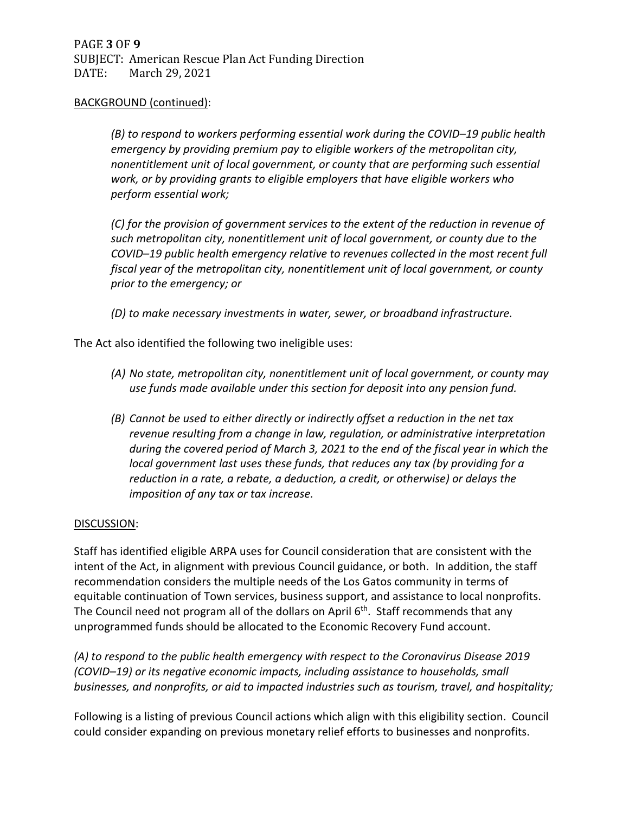#### BACKGROUND (continued):

*(B) to respond to workers performing essential work during the COVID–19 public health emergency by providing premium pay to eligible workers of the metropolitan city, nonentitlement unit of local government, or county that are performing such essential work, or by providing grants to eligible employers that have eligible workers who perform essential work;*

*(C) for the provision of government services to the extent of the reduction in revenue of such metropolitan city, nonentitlement unit of local government, or county due to the COVID–19 public health emergency relative to revenues collected in the most recent full fiscal year of the metropolitan city, nonentitlement unit of local government, or county prior to the emergency; or*

*(D) to make necessary investments in water, sewer, or broadband infrastructure.*

The Act also identified the following two ineligible uses:

- *(A) No state, metropolitan city, nonentitlement unit of local government, or county may use funds made available under this section for deposit into any pension fund.*
- *(B) Cannot be used to either directly or indirectly offset a reduction in the net tax revenue resulting from a change in law, regulation, or administrative interpretation during the covered period of March 3, 2021 to the end of the fiscal year in which the local government last uses these funds, that reduces any tax (by providing for a reduction in a rate, a rebate, a deduction, a credit, or otherwise) or delays the imposition of any tax or tax increase.*

#### DISCUSSION:

Staff has identified eligible ARPA uses for Council consideration that are consistent with the intent of the Act, in alignment with previous Council guidance, or both. In addition, the staff recommendation considers the multiple needs of the Los Gatos community in terms of equitable continuation of Town services, business support, and assistance to local nonprofits. The Council need not program all of the dollars on April 6<sup>th</sup>. Staff recommends that any unprogrammed funds should be allocated to the Economic Recovery Fund account.

*(A) to respond to the public health emergency with respect to the Coronavirus Disease 2019 (COVID–19) or its negative economic impacts, including assistance to households, small businesses, and nonprofits, or aid to impacted industries such as tourism, travel, and hospitality;*

Following is a listing of previous Council actions which align with this eligibility section. Council could consider expanding on previous monetary relief efforts to businesses and nonprofits.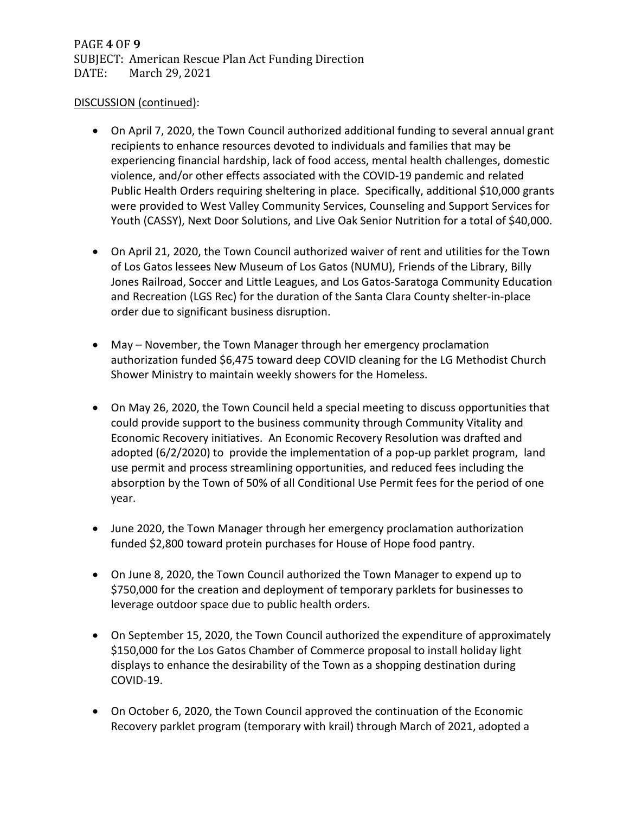#### DISCUSSION (continued):

- On April 7, 2020, the Town Council authorized additional funding to several annual grant recipients to enhance resources devoted to individuals and families that may be experiencing financial hardship, lack of food access, mental health challenges, domestic violence, and/or other effects associated with the COVID-19 pandemic and related Public Health Orders requiring sheltering in place. Specifically, additional \$10,000 grants were provided to West Valley Community Services, Counseling and Support Services for Youth (CASSY), Next Door Solutions, and Live Oak Senior Nutrition for a total of \$40,000.
- On April 21, 2020, the Town Council authorized waiver of rent and utilities for the Town of Los Gatos lessees New Museum of Los Gatos (NUMU), Friends of the Library, Billy Jones Railroad, Soccer and Little Leagues, and Los Gatos-Saratoga Community Education and Recreation (LGS Rec) for the duration of the Santa Clara County shelter-in-place order due to significant business disruption.
- May November, the Town Manager through her emergency proclamation authorization funded \$6,475 toward deep COVID cleaning for the LG Methodist Church Shower Ministry to maintain weekly showers for the Homeless.
- On May 26, 2020, the Town Council held a special meeting to discuss opportunities that could provide support to the business community through Community Vitality and Economic Recovery initiatives. An Economic Recovery Resolution was drafted and adopted (6/2/2020) to provide the implementation of a pop-up parklet program, land use permit and process streamlining opportunities, and reduced fees including the absorption by the Town of 50% of all Conditional Use Permit fees for the period of one year.
- June 2020, the Town Manager through her emergency proclamation authorization funded \$2,800 toward protein purchases for House of Hope food pantry.
- On June 8, 2020, the Town Council authorized the Town Manager to expend up to \$750,000 for the creation and deployment of temporary parklets for businesses to leverage outdoor space due to public health orders.
- On September 15, 2020, the Town Council authorized the expenditure of approximately \$150,000 for the Los Gatos Chamber of Commerce proposal to install holiday light displays to enhance the desirability of the Town as a shopping destination during COVID-19.
- On October 6, 2020, the Town Council approved the continuation of the Economic Recovery parklet program (temporary with krail) through March of 2021, adopted a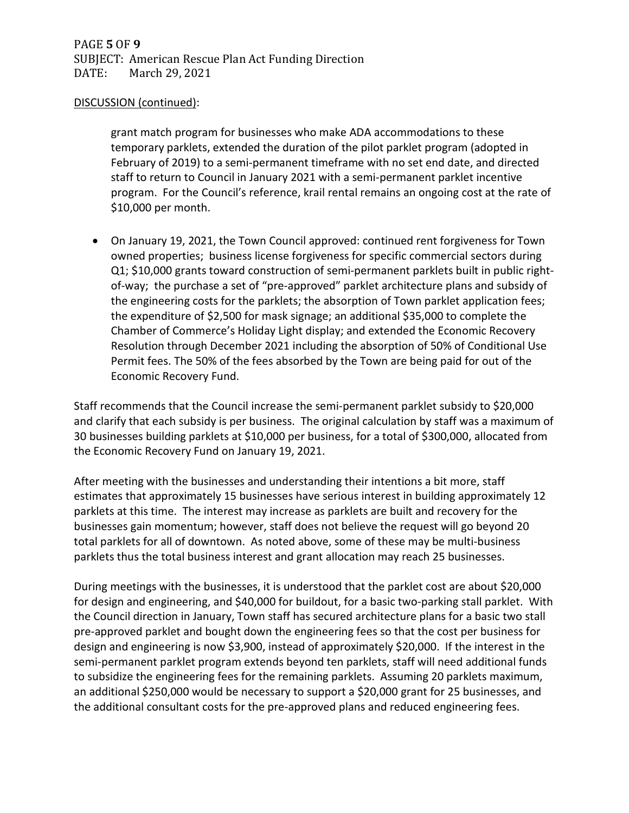#### DISCUSSION (continued):

grant match program for businesses who make ADA accommodations to these temporary parklets, extended the duration of the pilot parklet program (adopted in February of 2019) to a semi-permanent timeframe with no set end date, and directed staff to return to Council in January 2021 with a semi-permanent parklet incentive program. For the Council's reference, krail rental remains an ongoing cost at the rate of \$10,000 per month.

• On January 19, 2021, the Town Council approved: continued rent forgiveness for Town owned properties; business license forgiveness for specific commercial sectors during Q1; \$10,000 grants toward construction of semi-permanent parklets built in public rightof-way; the purchase a set of "pre-approved" parklet architecture plans and subsidy of the engineering costs for the parklets; the absorption of Town parklet application fees; the expenditure of \$2,500 for mask signage; an additional \$35,000 to complete the Chamber of Commerce's Holiday Light display; and extended the Economic Recovery Resolution through December 2021 including the absorption of 50% of Conditional Use Permit fees. The 50% of the fees absorbed by the Town are being paid for out of the Economic Recovery Fund.

Staff recommends that the Council increase the semi-permanent parklet subsidy to \$20,000 and clarify that each subsidy is per business. The original calculation by staff was a maximum of 30 businesses building parklets at \$10,000 per business, for a total of \$300,000, allocated from the Economic Recovery Fund on January 19, 2021.

After meeting with the businesses and understanding their intentions a bit more, staff estimates that approximately 15 businesses have serious interest in building approximately 12 parklets at this time. The interest may increase as parklets are built and recovery for the businesses gain momentum; however, staff does not believe the request will go beyond 20 total parklets for all of downtown. As noted above, some of these may be multi-business parklets thus the total business interest and grant allocation may reach 25 businesses.

During meetings with the businesses, it is understood that the parklet cost are about \$20,000 for design and engineering, and \$40,000 for buildout, for a basic two-parking stall parklet. With the Council direction in January, Town staff has secured architecture plans for a basic two stall pre-approved parklet and bought down the engineering fees so that the cost per business for design and engineering is now \$3,900, instead of approximately \$20,000. If the interest in the semi-permanent parklet program extends beyond ten parklets, staff will need additional funds to subsidize the engineering fees for the remaining parklets. Assuming 20 parklets maximum, an additional \$250,000 would be necessary to support a \$20,000 grant for 25 businesses, and the additional consultant costs for the pre-approved plans and reduced engineering fees.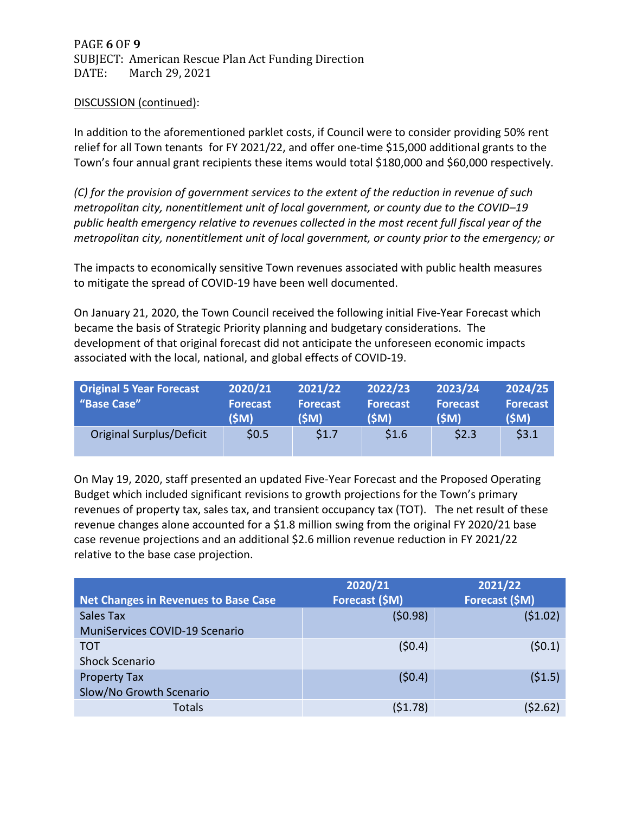PAGE **6** OF **9** SUBJECT: American Rescue Plan Act Funding Direction<br>DATE: March 29, 2021 March 29, 2021

#### DISCUSSION (continued):

In addition to the aforementioned parklet costs, if Council were to consider providing 50% rent relief for all Town tenants for FY 2021/22, and offer one-time \$15,000 additional grants to the Town's four annual grant recipients these items would total \$180,000 and \$60,000 respectively.

*(C) for the provision of government services to the extent of the reduction in revenue of such metropolitan city, nonentitlement unit of local government, or county due to the COVID–19 public health emergency relative to revenues collected in the most recent full fiscal year of the metropolitan city, nonentitlement unit of local government, or county prior to the emergency; or*

The impacts to economically sensitive Town revenues associated with public health measures to mitigate the spread of COVID-19 have been well documented.

On January 21, 2020, the Town Council received the following initial Five-Year Forecast which became the basis of Strategic Priority planning and budgetary considerations. The development of that original forecast did not anticipate the unforeseen economic impacts associated with the local, national, and global effects of COVID-19.

| <b>Original 5 Year Forecast</b> | 2020/21                 | 2021/22                 | 2022/23                 | 2023/24                 | 2024/25                 |
|---------------------------------|-------------------------|-------------------------|-------------------------|-------------------------|-------------------------|
| "Base Case"                     | <b>Forecast</b><br>(SM) | <b>Forecast</b><br>(SM) | <b>Forecast</b><br>(SM) | <b>Forecast</b><br>(ŚM) | <b>Forecast</b><br>(SM) |
| <b>Original Surplus/Deficit</b> | \$0.5                   | \$1.7                   | \$1.6                   | \$2.3                   | \$3.1                   |

On May 19, 2020, staff presented an updated Five-Year Forecast and the Proposed Operating Budget which included significant revisions to growth projections for the Town's primary revenues of property tax, sales tax, and transient occupancy tax (TOT). The net result of these revenue changes alone accounted for a \$1.8 million swing from the original FY 2020/21 base case revenue projections and an additional \$2.6 million revenue reduction in FY 2021/22 relative to the base case projection.

|                                             | 2020/21        | 2021/22        |  |
|---------------------------------------------|----------------|----------------|--|
| <b>Net Changes in Revenues to Base Case</b> | Forecast (\$M) | Forecast (\$M) |  |
| Sales Tax                                   | (50.98)        | (51.02)        |  |
| <b>MuniServices COVID-19 Scenario</b>       |                |                |  |
| <b>TOT</b>                                  | (50.4)         | (50.1)         |  |
| <b>Shock Scenario</b>                       |                |                |  |
| <b>Property Tax</b>                         | (50.4)         | (51.5)         |  |
| Slow/No Growth Scenario                     |                |                |  |
| <b>Totals</b>                               | (51.78)        | (\$2.62)       |  |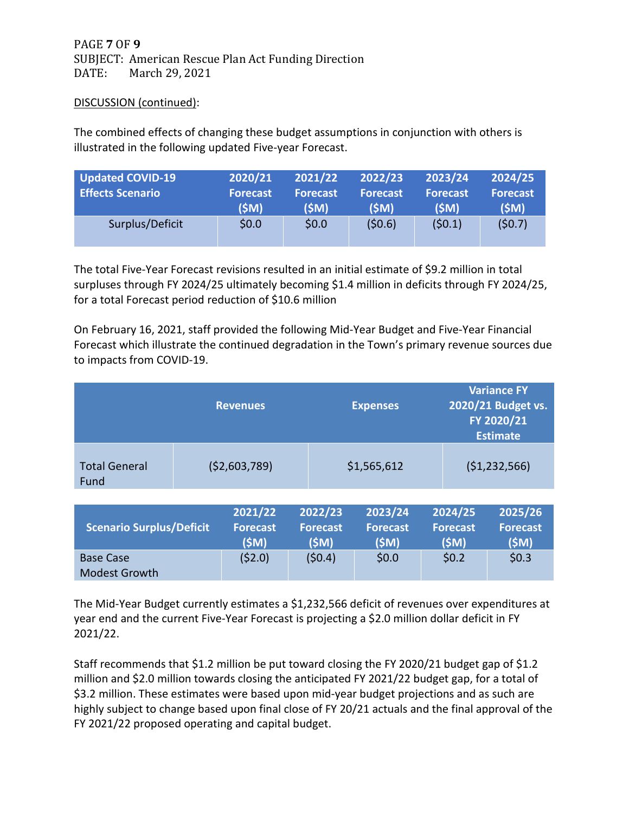## PAGE **7** OF **9** SUBJECT: American Rescue Plan Act Funding Direction<br>DATE: March 29, 2021 March 29, 2021

#### DISCUSSION (continued):

Base Case

Modest Growth

The combined effects of changing these budget assumptions in conjunction with others is illustrated in the following updated Five-year Forecast.

| Updated COVID-19<br><b>Effects Scenario</b> | 2020/21<br><b>Forecast</b><br>(SM) | 2021/22<br><b>Forecast</b><br>(SM) | 2022/23<br><b>Forecast</b><br>(SM) | 2023/24<br><b>Forecast</b><br>(SM) | 2024/25<br><b>Forecast</b><br>(SM) |
|---------------------------------------------|------------------------------------|------------------------------------|------------------------------------|------------------------------------|------------------------------------|
| Surplus/Deficit                             | \$0.0\$                            | \$0.0\$                            | (50.6)                             | (50.1)                             | (50.7)                             |

The total Five-Year Forecast revisions resulted in an initial estimate of \$9.2 million in total surpluses through FY 2024/25 ultimately becoming \$1.4 million in deficits through FY 2024/25, for a total Forecast period reduction of \$10.6 million

On February 16, 2021, staff provided the following Mid-Year Budget and Five-Year Financial Forecast which illustrate the continued degradation in the Town's primary revenue sources due to impacts from COVID-19.

|                                 |                | <b>Revenues</b>                     |             |                                     | <b>Expenses</b>                    |  |                                     | <b>Variance FY</b><br>2020/21 Budget vs.<br>FY 2020/21<br><b>Estimate</b> |  |  |
|---------------------------------|----------------|-------------------------------------|-------------|-------------------------------------|------------------------------------|--|-------------------------------------|---------------------------------------------------------------------------|--|--|
| <b>Total General</b><br>Fund    | ( \$2,603,789) |                                     | \$1,565,612 |                                     | (51, 232, 566)                     |  |                                     |                                                                           |  |  |
| <b>Scenario Surplus/Deficit</b> |                | 2021/22<br><b>Forecast</b><br>(\$M) |             | 2022/23<br><b>Forecast</b><br>(\$M) | 2023/24<br><b>Forecast</b><br>(SM) |  | 2024/25<br><b>Forecast</b><br>(\$M) | 2025/26<br><b>Forecast</b><br>(\$M)                                       |  |  |

The Mid-Year Budget currently estimates a \$1,232,566 deficit of revenues over expenditures at year end and the current Five-Year Forecast is projecting a \$2.0 million dollar deficit in FY 2021/22.

 $(52.0)$   $(50.4)$   $50.0$   $50.2$   $50.3$ 

Staff recommends that \$1.2 million be put toward closing the FY 2020/21 budget gap of \$1.2 million and \$2.0 million towards closing the anticipated FY 2021/22 budget gap, for a total of \$3.2 million. These estimates were based upon mid-year budget projections and as such are highly subject to change based upon final close of FY 20/21 actuals and the final approval of the FY 2021/22 proposed operating and capital budget.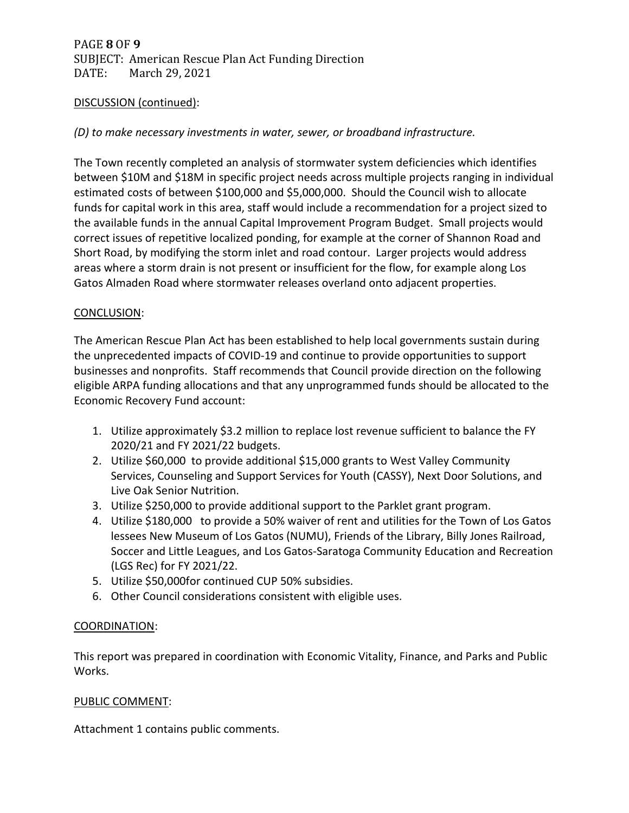# PAGE **8** OF **9** SUBJECT: American Rescue Plan Act Funding Direction<br>DATE: March 29, 2021 March 29, 2021

#### DISCUSSION (continued):

#### *(D) to make necessary investments in water, sewer, or broadband infrastructure.*

The Town recently completed an analysis of stormwater system deficiencies which identifies between \$10M and \$18M in specific project needs across multiple projects ranging in individual estimated costs of between \$100,000 and \$5,000,000. Should the Council wish to allocate funds for capital work in this area, staff would include a recommendation for a project sized to the available funds in the annual Capital Improvement Program Budget. Small projects would correct issues of repetitive localized ponding, for example at the corner of Shannon Road and Short Road, by modifying the storm inlet and road contour. Larger projects would address areas where a storm drain is not present or insufficient for the flow, for example along Los Gatos Almaden Road where stormwater releases overland onto adjacent properties.

#### CONCLUSION:

The American Rescue Plan Act has been established to help local governments sustain during the unprecedented impacts of COVID-19 and continue to provide opportunities to support businesses and nonprofits. Staff recommends that Council provide direction on the following eligible ARPA funding allocations and that any unprogrammed funds should be allocated to the Economic Recovery Fund account:

- 1. Utilize approximately \$3.2 million to replace lost revenue sufficient to balance the FY 2020/21 and FY 2021/22 budgets.
- 2. Utilize \$60,000 to provide additional \$15,000 grants to West Valley Community Services, Counseling and Support Services for Youth (CASSY), Next Door Solutions, and Live Oak Senior Nutrition.
- 3. Utilize \$250,000 to provide additional support to the Parklet grant program.
- 4. Utilize \$180,000 to provide a 50% waiver of rent and utilities for the Town of Los Gatos lessees New Museum of Los Gatos (NUMU), Friends of the Library, Billy Jones Railroad, Soccer and Little Leagues, and Los Gatos-Saratoga Community Education and Recreation (LGS Rec) for FY 2021/22.
- 5. Utilize \$50,000for continued CUP 50% subsidies.
- 6. Other Council considerations consistent with eligible uses.

#### COORDINATION:

This report was prepared in coordination with Economic Vitality, Finance, and Parks and Public Works.

#### PUBLIC COMMENT:

Attachment 1 contains public comments.